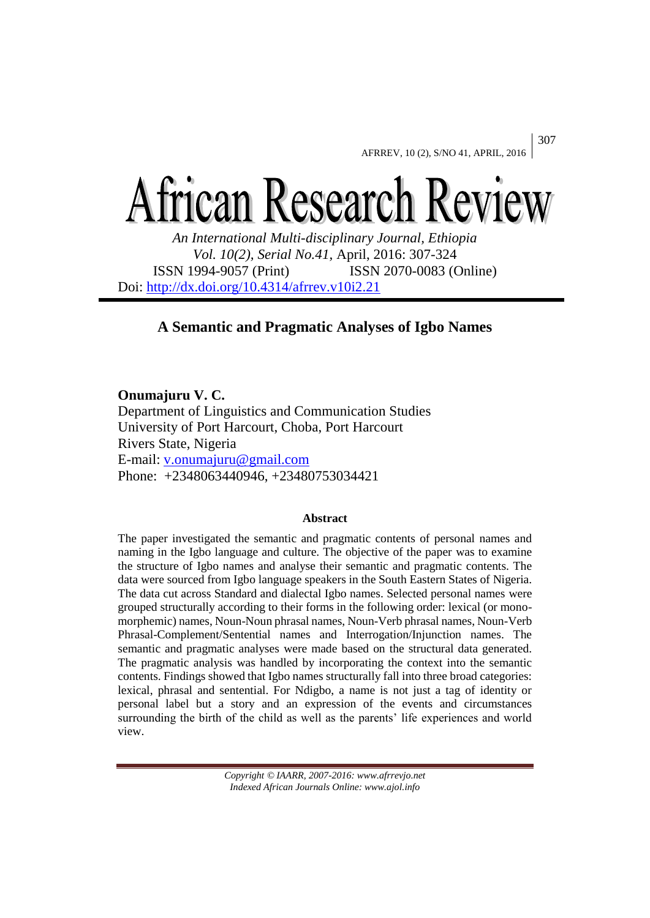# **African Research Review**

*An International Multi-disciplinary Journal, Ethiopia Vol. 10(2), Serial No.41,* April, 2016: 307-324 ISSN 1994-9057 (Print) ISSN 2070-0083 (Online) Doi:<http://dx.doi.org/10.4314/afrrev.v10i2.21>

# **A Semantic and Pragmatic Analyses of Igbo Names**

## **Onumajuru V. C.**

Department of Linguistics and Communication Studies University of Port Harcourt, Choba, Port Harcourt Rivers State, Nigeria E-mail: [v.onumajuru@gmail.com](mailto:v.onumajuru@gmail.com) Phone: +2348063440946, +23480753034421

#### **Abstract**

The paper investigated the semantic and pragmatic contents of personal names and naming in the Igbo language and culture. The objective of the paper was to examine the structure of Igbo names and analyse their semantic and pragmatic contents. The data were sourced from Igbo language speakers in the South Eastern States of Nigeria. The data cut across Standard and dialectal Igbo names. Selected personal names were grouped structurally according to their forms in the following order: lexical (or monomorphemic) names, Noun-Noun phrasal names, Noun-Verb phrasal names, Noun-Verb Phrasal-Complement/Sentential names and Interrogation/Injunction names. The semantic and pragmatic analyses were made based on the structural data generated. The pragmatic analysis was handled by incorporating the context into the semantic contents. Findings showed that Igbo names structurally fall into three broad categories: lexical, phrasal and sentential. For Ndigbo, a name is not just a tag of identity or personal label but a story and an expression of the events and circumstances surrounding the birth of the child as well as the parents' life experiences and world view.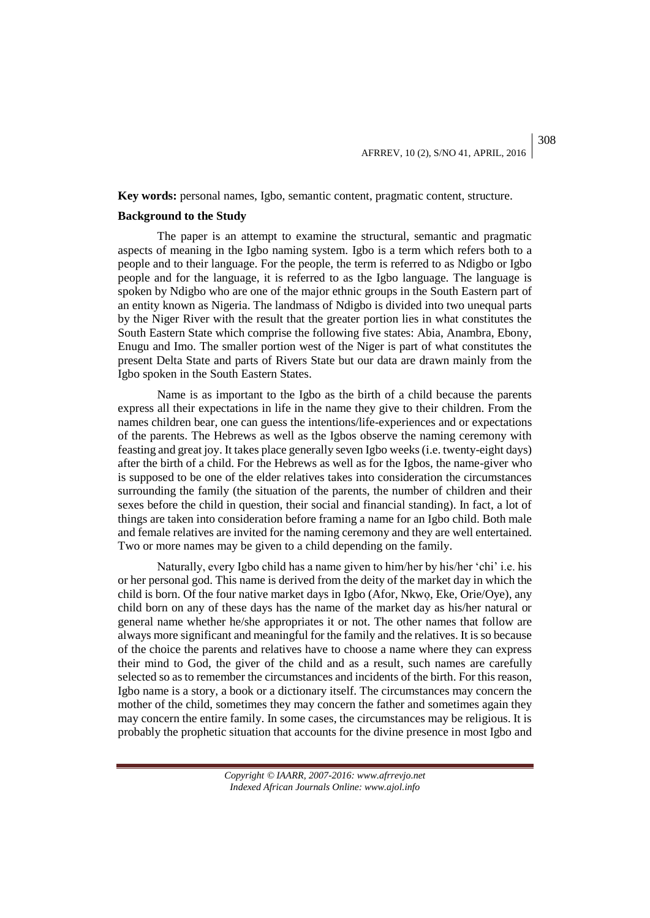**Key words:** personal names, Igbo, semantic content, pragmatic content, structure.

#### **Background to the Study**

The paper is an attempt to examine the structural, semantic and pragmatic aspects of meaning in the Igbo naming system. Igbo is a term which refers both to a people and to their language. For the people, the term is referred to as Ndigbo or Igbo people and for the language, it is referred to as the Igbo language. The language is spoken by Ndigbo who are one of the major ethnic groups in the South Eastern part of an entity known as Nigeria. The landmass of Ndigbo is divided into two unequal parts by the Niger River with the result that the greater portion lies in what constitutes the South Eastern State which comprise the following five states: Abia, Anambra, Ebony, Enugu and Imo. The smaller portion west of the Niger is part of what constitutes the present Delta State and parts of Rivers State but our data are drawn mainly from the Igbo spoken in the South Eastern States.

Name is as important to the Igbo as the birth of a child because the parents express all their expectations in life in the name they give to their children. From the names children bear, one can guess the intentions/life-experiences and or expectations of the parents. The Hebrews as well as the Igbos observe the naming ceremony with feasting and great joy. It takes place generally seven Igbo weeks (i.e. twenty-eight days) after the birth of a child. For the Hebrews as well as for the Igbos, the name-giver who is supposed to be one of the elder relatives takes into consideration the circumstances surrounding the family (the situation of the parents, the number of children and their sexes before the child in question, their social and financial standing). In fact, a lot of things are taken into consideration before framing a name for an Igbo child. Both male and female relatives are invited for the naming ceremony and they are well entertained. Two or more names may be given to a child depending on the family.

Naturally, every Igbo child has a name given to him/her by his/her 'chi' i.e. his or her personal god. This name is derived from the deity of the market day in which the child is born. Of the four native market days in Igbo (Afor, Nkwo, Eke, Orie/Oye), any child born on any of these days has the name of the market day as his/her natural or general name whether he/she appropriates it or not. The other names that follow are always more significant and meaningful for the family and the relatives. It is so because of the choice the parents and relatives have to choose a name where they can express their mind to God, the giver of the child and as a result, such names are carefully selected so as to remember the circumstances and incidents of the birth. For this reason, Igbo name is a story, a book or a dictionary itself. The circumstances may concern the mother of the child, sometimes they may concern the father and sometimes again they may concern the entire family. In some cases, the circumstances may be religious. It is probably the prophetic situation that accounts for the divine presence in most Igbo and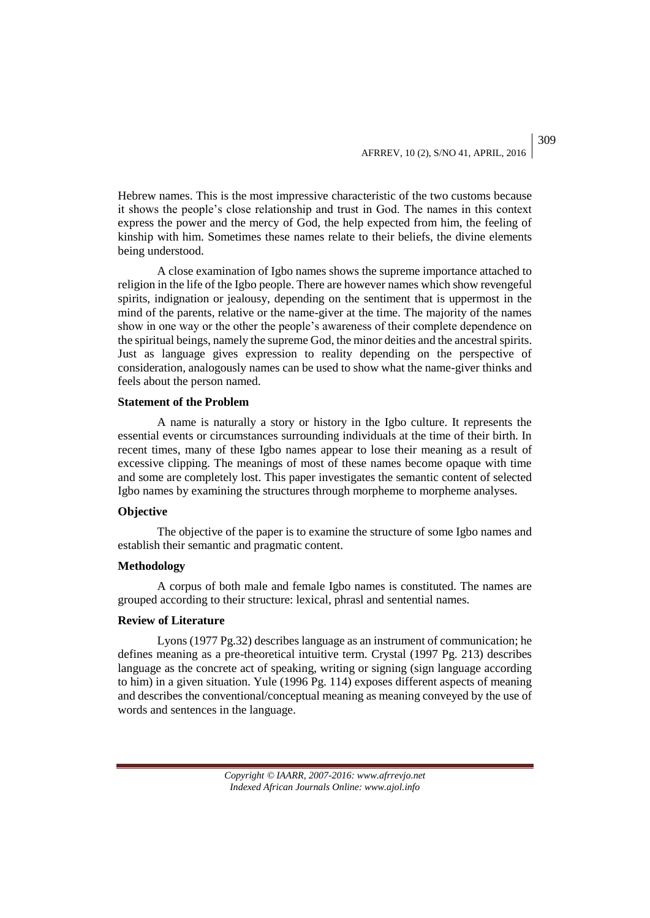Hebrew names. This is the most impressive characteristic of the two customs because it shows the people's close relationship and trust in God. The names in this context express the power and the mercy of God, the help expected from him, the feeling of kinship with him. Sometimes these names relate to their beliefs, the divine elements being understood.

A close examination of Igbo names shows the supreme importance attached to religion in the life of the Igbo people. There are however names which show revengeful spirits, indignation or jealousy, depending on the sentiment that is uppermost in the mind of the parents, relative or the name-giver at the time. The majority of the names show in one way or the other the people's awareness of their complete dependence on the spiritual beings, namely the supreme God, the minor deities and the ancestral spirits. Just as language gives expression to reality depending on the perspective of consideration, analogously names can be used to show what the name-giver thinks and feels about the person named.

#### **Statement of the Problem**

A name is naturally a story or history in the Igbo culture. It represents the essential events or circumstances surrounding individuals at the time of their birth. In recent times, many of these Igbo names appear to lose their meaning as a result of excessive clipping. The meanings of most of these names become opaque with time and some are completely lost. This paper investigates the semantic content of selected Igbo names by examining the structures through morpheme to morpheme analyses.

#### **Objective**

The objective of the paper is to examine the structure of some Igbo names and establish their semantic and pragmatic content.

#### **Methodology**

A corpus of both male and female Igbo names is constituted. The names are grouped according to their structure: lexical, phrasl and sentential names.

#### **Review of Literature**

Lyons (1977 Pg.32) describes language as an instrument of communication; he defines meaning as a pre-theoretical intuitive term. Crystal (1997 Pg. 213) describes language as the concrete act of speaking, writing or signing (sign language according to him) in a given situation. Yule (1996 Pg. 114) exposes different aspects of meaning and describes the conventional/conceptual meaning as meaning conveyed by the use of words and sentences in the language.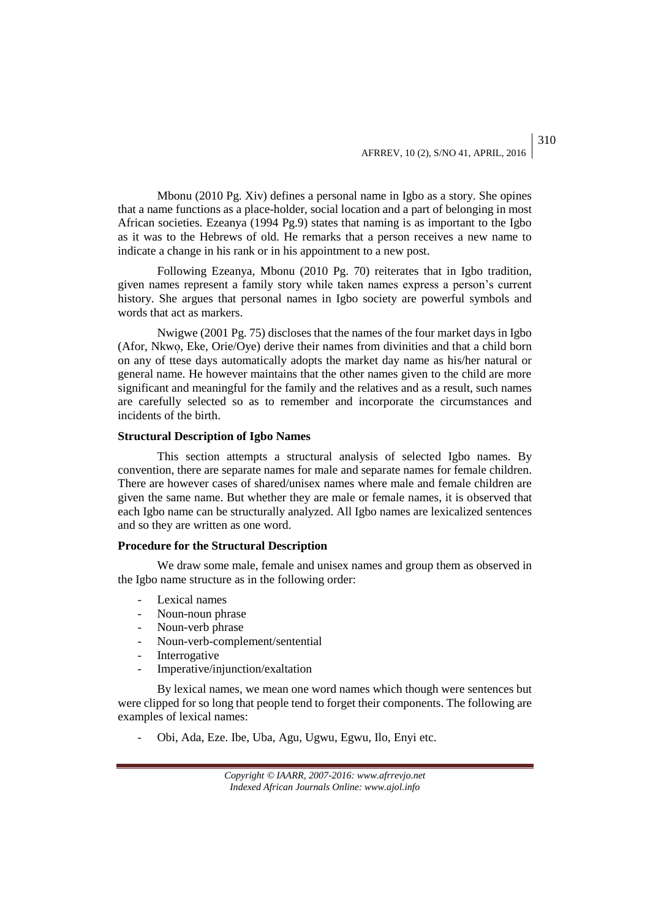Mbonu (2010 Pg. Xiv) defines a personal name in Igbo as a story. She opines that a name functions as a place-holder, social location and a part of belonging in most African societies. Ezeanya (1994 Pg.9) states that naming is as important to the Igbo as it was to the Hebrews of old. He remarks that a person receives a new name to indicate a change in his rank or in his appointment to a new post.

Following Ezeanya, Mbonu (2010 Pg. 70) reiterates that in Igbo tradition, given names represent a family story while taken names express a person's current history. She argues that personal names in Igbo society are powerful symbols and words that act as markers.

Nwigwe (2001 Pg. 75) discloses that the names of the four market days in Igbo (Afor, Nkwo, Eke, Orie/Oye) derive their names from divinities and that a child born on any of ttese days automatically adopts the market day name as his/her natural or general name. He however maintains that the other names given to the child are more significant and meaningful for the family and the relatives and as a result, such names are carefully selected so as to remember and incorporate the circumstances and incidents of the birth.

#### **Structural Description of Igbo Names**

This section attempts a structural analysis of selected Igbo names. By convention, there are separate names for male and separate names for female children. There are however cases of shared/unisex names where male and female children are given the same name. But whether they are male or female names, it is observed that each Igbo name can be structurally analyzed. All Igbo names are lexicalized sentences and so they are written as one word.

#### **Procedure for the Structural Description**

We draw some male, female and unisex names and group them as observed in the Igbo name structure as in the following order:

- Lexical names
- Noun-noun phrase
- Noun-verb phrase
- Noun-verb-complement/sentential
- Interrogative
- Imperative/injunction/exaltation

By lexical names, we mean one word names which though were sentences but were clipped for so long that people tend to forget their components. The following are examples of lexical names:

- Obi, Ada, Eze. Ibe, Uba, Agu, Ugwu, Egwu, Ilo, Enyi etc.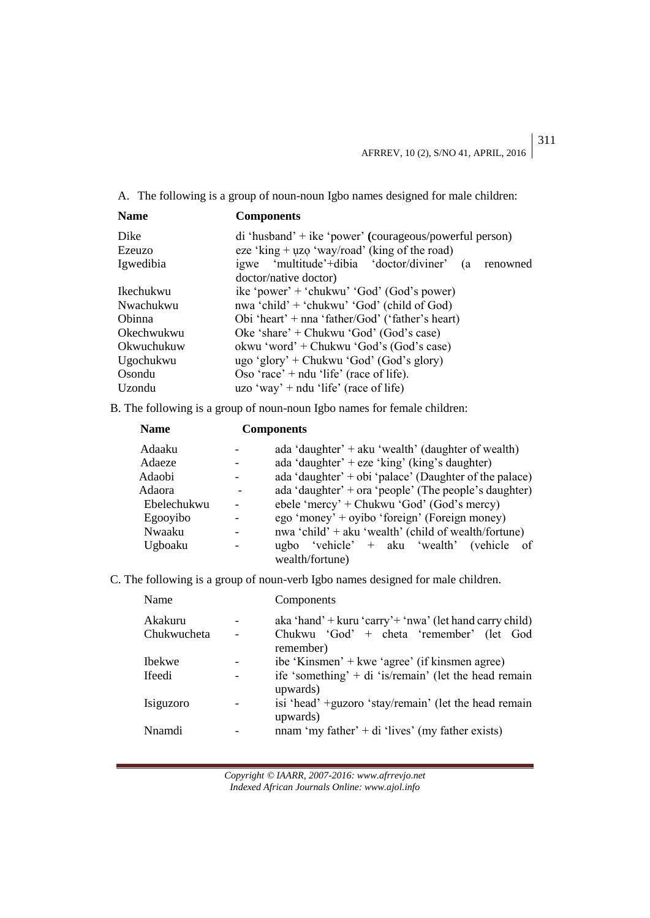A. The following is a group of noun-noun Igbo names designed for male children:

| <b>Name</b>      | <b>Components</b>                                         |  |  |  |  |  |
|------------------|-----------------------------------------------------------|--|--|--|--|--|
| Dike             | $di'$ husband' + ike 'power' (courageous/powerful person) |  |  |  |  |  |
| Ezeuzo           | eze 'king + $\mu$ zo 'way/road' (king of the road)        |  |  |  |  |  |
| Igwedibia        | igwe 'multitude'+dibia 'doctor/diviner'<br>(a renowned    |  |  |  |  |  |
|                  | doctor/native doctor)                                     |  |  |  |  |  |
| <b>Ikechukwu</b> | ike 'power' + 'chukwu' 'God' (God's power)                |  |  |  |  |  |
| Nwachukwu        | nwa 'child' + 'chukwu' 'God' (child of God)               |  |  |  |  |  |
| Obinna           | Obi 'heart' + nna 'father/God' ('father's heart)          |  |  |  |  |  |
| Okechwukwu       | Oke 'share' + Chukwu 'God' (God's case)                   |  |  |  |  |  |
| Okwuchukuw       | okwu 'word' + Chukwu 'God's (God's case)                  |  |  |  |  |  |
| Ugochukwu        | ugo 'glory' + Chukwu 'God' (God's glory)                  |  |  |  |  |  |
| Osondu           | Oso 'race' + ndu 'life' (race of life).                   |  |  |  |  |  |
| Uzondu           | uzo 'way' + ndu 'life' (race of life)                     |  |  |  |  |  |

B. The following is a group of noun-noun Igbo names for female children:

| <b>Name</b> | <b>Components</b>                                           |
|-------------|-------------------------------------------------------------|
| Adaaku      | ada 'daughter' + aku 'wealth' (daughter of wealth)          |
| Adaeze      | ada 'daughter' + eze 'king' (king's daughter)               |
| Adaobi      | ada 'daughter' + obi 'palace' (Daughter of the palace)      |
| Adaora      | ada 'daughter' + ora 'people' (The people's daughter)       |
| Ebelechukwu | ebele 'mercy' + Chukwu 'God' (God's mercy)                  |
| Egooyibo    | ego 'money' + oyibo 'foreign' (Foreign money)               |
| Nwaaku      | nwa 'child' + aku 'wealth' (child of wealth/fortune)        |
| Ugboaku     | ugbo 'vehicle' $+$ aku 'wealth'<br><i>(vehicle)</i><br>- of |
|             | wealth/fortune)                                             |

C. The following is a group of noun-verb Igbo names designed for male children.

| Name                   | Components                                                                                                        |
|------------------------|-------------------------------------------------------------------------------------------------------------------|
| Akakuru<br>Chukwucheta | aka 'hand' + kuru 'carry' + 'nwa' (let hand carry child)<br>Chukwu 'God' + cheta 'remember' (let God<br>remember) |
| <b>Ibekwe</b>          | ibe 'Kinsmen' + kwe 'agree' (if kinsmen agree)                                                                    |
| Ifeedi                 | ife 'something' $+$ di 'is/remain' (let the head remain<br>upwards)                                               |
| Isiguzoro              | isi 'head' +guzoro 'stay/remain' (let the head remain<br>upwards)                                                 |
| Nnamdi                 | nnam 'my father' + di 'lives' (my father exists)                                                                  |

*Copyright © IAARR, 2007-2016: www.afrrevjo.net Indexed African Journals Online: www.ajol.info*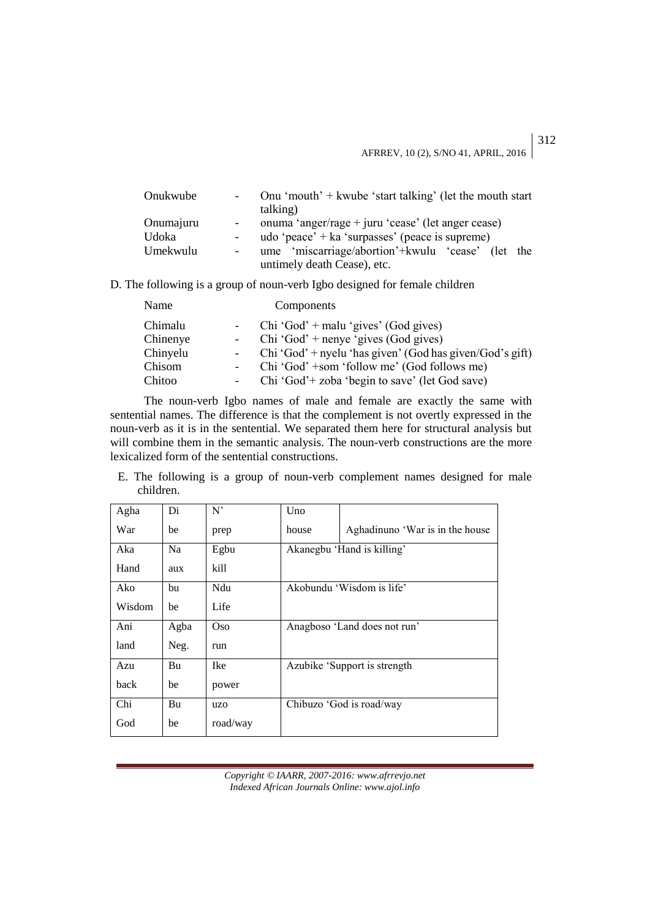| Onukwube  | Onu 'mouth' + kwube 'start talking' (let the mouth start |
|-----------|----------------------------------------------------------|
|           | talking)                                                 |
| Onumajuru | onuma 'anger/rage + juru 'cease' (let anger cease)       |
| Udoka     | udo 'peace' + $ka$ 'surpasses' (peace is supreme)        |
| Umekwulu  | ume 'miscarriage/abortion'+kwulu 'cease' (let the        |
|           | untimely death Cease), etc.                              |

D. The following is a group of noun-verb Igbo designed for female children

| Name     | Components                                                 |
|----------|------------------------------------------------------------|
| Chimalu  | Chi 'God' + malu 'gives' (God gives)                       |
| Chinenye | - Chi 'God' + nenye 'gives (God gives)                     |
| Chinyelu | - Chi 'God' + nyelu 'has given' (God has given/God's gift) |
| Chisom   | Chi 'God' +som 'follow me' (God follows me)                |
| Chitoo   | Chi 'God'+ zoba 'begin to save' (let God save)             |

The noun-verb Igbo names of male and female are exactly the same with sentential names. The difference is that the complement is not overtly expressed in the noun-verb as it is in the sentential. We separated them here for structural analysis but will combine them in the semantic analysis. The noun-verb constructions are the more lexicalized form of the sentential constructions.

E. The following is a group of noun-verb complement names designed for male children.

| Agha   | Di   | N'         | Uno   |                                 |
|--------|------|------------|-------|---------------------------------|
| War    | be   | prep       | house | Aghadinuno 'War is in the house |
| Aka    | Na   | Egbu       |       | Akanegbu 'Hand is killing'      |
| Hand   | aux  | kill       |       |                                 |
| Ako    | bu   | Ndu        |       | Akobundu 'Wisdom is life'       |
| Wisdom | be   | Life       |       |                                 |
| Ani    | Agba | <b>Oso</b> |       | Anagboso 'Land does not run'    |
| land   | Neg. | run        |       |                                 |
| Azu    | Bu   | Ike        |       | Azubike 'Support is strength    |
| back   | be   | power      |       |                                 |
| Chi    | Bu   | <b>UZO</b> |       | Chibuzo 'God is road/way        |
| God    | be   | road/way   |       |                                 |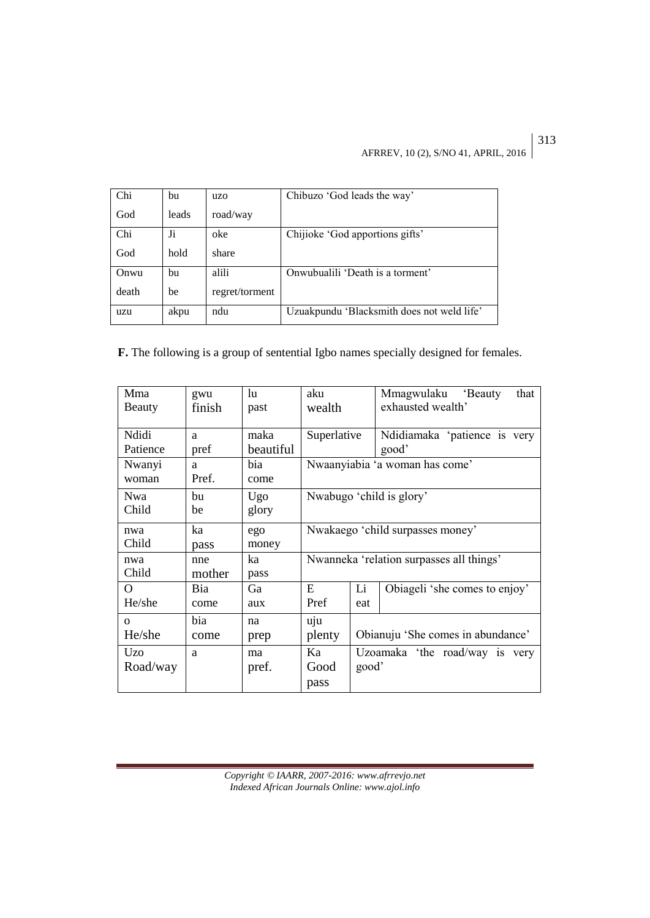| Chi   | bu    | <b>uzo</b>     | Chibuzo 'God leads the way'                |
|-------|-------|----------------|--------------------------------------------|
| God   | leads | road/way       |                                            |
| Chi   | Ji    | oke            | Chijioke 'God apportions gifts'            |
| God   | hold  | share          |                                            |
| Onwu  | bu    | alili          | Onwubualili 'Death is a torment'           |
| death | be    | regret/torment |                                            |
| uzu   | akpu  | ndu            | Uzuakpundu 'Blacksmith does not weld life' |

**F.** The following is a group of sentential Igbo names specially designed for females.

| Mma<br>Beauty      | gwu<br>finish | lu<br>past        | aku<br>wealth      |           | Mmagwulaku<br>'Beauty<br>that<br>exhausted wealth' |
|--------------------|---------------|-------------------|--------------------|-----------|----------------------------------------------------|
| Ndidi<br>Patience  | a<br>pref     | maka<br>beautiful | Superlative        |           | Ndidiamaka 'patience is very<br>good'              |
| Nwanyi<br>woman    | a<br>Pref.    | bia<br>come       |                    |           | Nwaanyiabia 'a woman has come'                     |
| Nwa<br>Child       | bu<br>he      | Ugo<br>glory      |                    |           | Nwabugo 'child is glory'                           |
| nwa<br>Child       | ka<br>pass    | ego<br>money      |                    |           | Nwakaego 'child surpasses money'                   |
| nwa<br>Child       | nne<br>mother | ka<br>pass        |                    |           | Nwanneka 'relation surpasses all things'           |
| $\Omega$<br>He/she | Bia<br>come   | Ga<br>aux         | E<br>Pref          | Li<br>eat | Obiageli 'she comes to enjoy'                      |
| $\Omega$<br>He/she | bia<br>come   | na<br>prep        | uju<br>plenty      |           | Obianuju 'She comes in abundance'                  |
| Uzo<br>Road/way    | a             | ma<br>pref.       | Ka<br>Good<br>pass | good'     | Uzoamaka 'the road/way is very                     |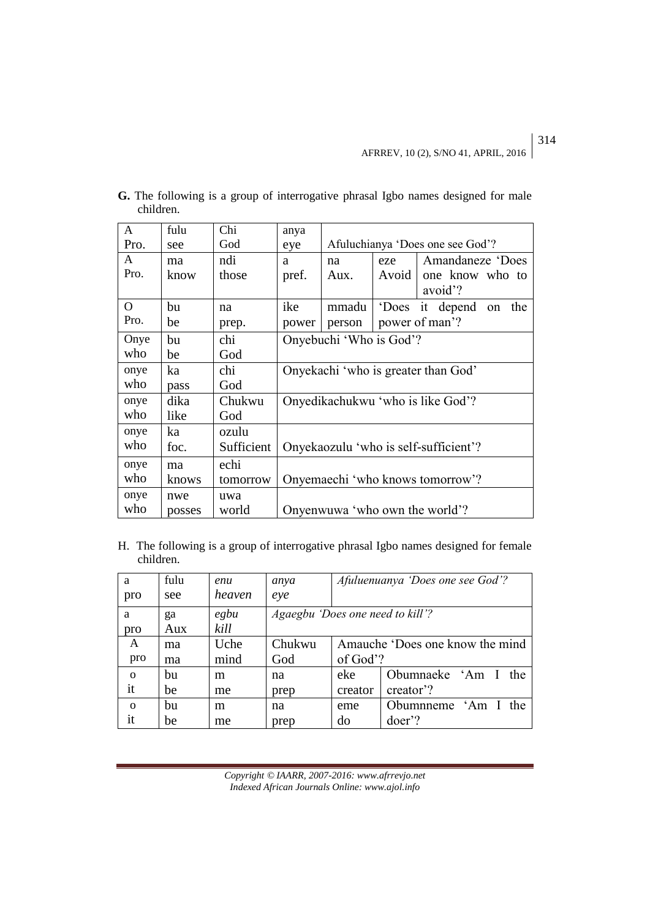| A        | fulu   | Chi        | anya                                |                         |       |                                       |
|----------|--------|------------|-------------------------------------|-------------------------|-------|---------------------------------------|
| Pro.     | see    | God        | eye                                 |                         |       | Afuluchianya 'Does one see God'?      |
| A        | ma     | ndi        | a                                   | na                      | eze   | Amandaneze 'Does                      |
| Pro.     | know   | those      | pref.                               | Aux.                    | Avoid | one know who to                       |
|          |        |            |                                     |                         |       | avoid'?                               |
| $\Omega$ | bu     | na         | ike                                 | mmadu                   | 'Does | it depend<br>the<br>on                |
| Pro.     | be     | prep.      | power                               | person                  |       | power of man?                         |
| Onye     | bu     | chi        |                                     | Onyebuchi 'Who is God'? |       |                                       |
| who      | be     | God        |                                     |                         |       |                                       |
| onye     | ka     | chi        | Onyekachi 'who is greater than God' |                         |       |                                       |
| who      | pass   | God        |                                     |                         |       |                                       |
| onye     | dika   | Chukwu     |                                     |                         |       | Onyedikachukwu 'who is like God'?     |
| who      | like   | God        |                                     |                         |       |                                       |
| onye     | ka     | ozulu      |                                     |                         |       |                                       |
| who      | foc.   | Sufficient |                                     |                         |       | Onyekaozulu 'who is self-sufficient'? |
| onye     | ma     | echi       |                                     |                         |       |                                       |
| who      | knows  | tomorrow   |                                     |                         |       | Onyemaechi 'who knows tomorrow'?      |
| onye     | nwe    | uwa        |                                     |                         |       |                                       |
| who      | posses | world      |                                     |                         |       | Onyenwuwa 'who own the world'?        |

**G.** The following is a group of interrogative phrasal Igbo names designed for male children.

H. The following is a group of interrogative phrasal Igbo names designed for female children.

| a        | fulu      | enu          | anya                             |          | Afuluenuanya 'Does one see God'? |
|----------|-----------|--------------|----------------------------------|----------|----------------------------------|
| pro      | see       | heaven       | eye                              |          |                                  |
| a<br>pro | ga<br>Aux | egbu<br>kill | Agaegbu 'Does one need to kill'? |          |                                  |
| A        |           | Uche         | Chukwu                           |          | Amauche 'Does one know the mind  |
|          | ma        |              |                                  |          |                                  |
| pro      | ma        | mind         | God                              | of God'? |                                  |
| $\Omega$ | bu        | m            | na                               | eke      | Obumnaeke 'Am I the              |
| it       | be        | me           | prep                             | creator  | creator?                         |
| $\Omega$ | bu        | m            | na                               | eme      | Obumnneme 'Am I the              |
| it       | be        | me           | prep                             | do       | doer??                           |

*Copyright © IAARR, 2007-2016: www.afrrevjo.net Indexed African Journals Online: www.ajol.info*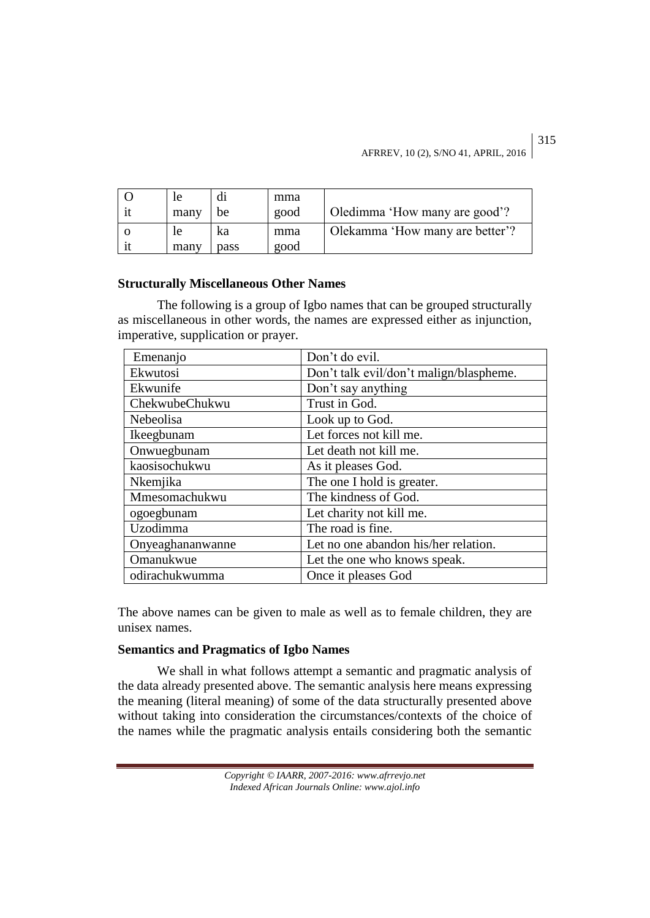| le<br>many | be         | mma<br>good | Oledimma 'How many are good'?   |
|------------|------------|-------------|---------------------------------|
| le<br>many | ka<br>pass | mma<br>good | Olekamma 'How many are better'? |

#### **Structurally Miscellaneous Other Names**

The following is a group of Igbo names that can be grouped structurally as miscellaneous in other words, the names are expressed either as injunction, imperative, supplication or prayer.

| Emenanjo         | Don't do evil.                          |
|------------------|-----------------------------------------|
| Ekwutosi         | Don't talk evil/don't malign/blaspheme. |
| Ekwunife         | Don't say anything                      |
| ChekwubeChukwu   | Trust in God.                           |
| Nebeolisa        | Look up to God.                         |
| Ikeegbunam       | Let forces not kill me.                 |
| Onwuegbunam      | Let death not kill me.                  |
| kaosisochukwu    | As it pleases God.                      |
| Nkemjika         | The one I hold is greater.              |
| Mmesomachukwu    | The kindness of God.                    |
| ogoegbunam       | Let charity not kill me.                |
| Uzodimma         | The road is fine.                       |
| Onyeaghananwanne | Let no one abandon his/her relation.    |
| Omanukwue        | Let the one who knows speak.            |
| odirachukwumma   | Once it pleases God                     |

The above names can be given to male as well as to female children, they are unisex names.

#### **Semantics and Pragmatics of Igbo Names**

We shall in what follows attempt a semantic and pragmatic analysis of the data already presented above. The semantic analysis here means expressing the meaning (literal meaning) of some of the data structurally presented above without taking into consideration the circumstances/contexts of the choice of the names while the pragmatic analysis entails considering both the semantic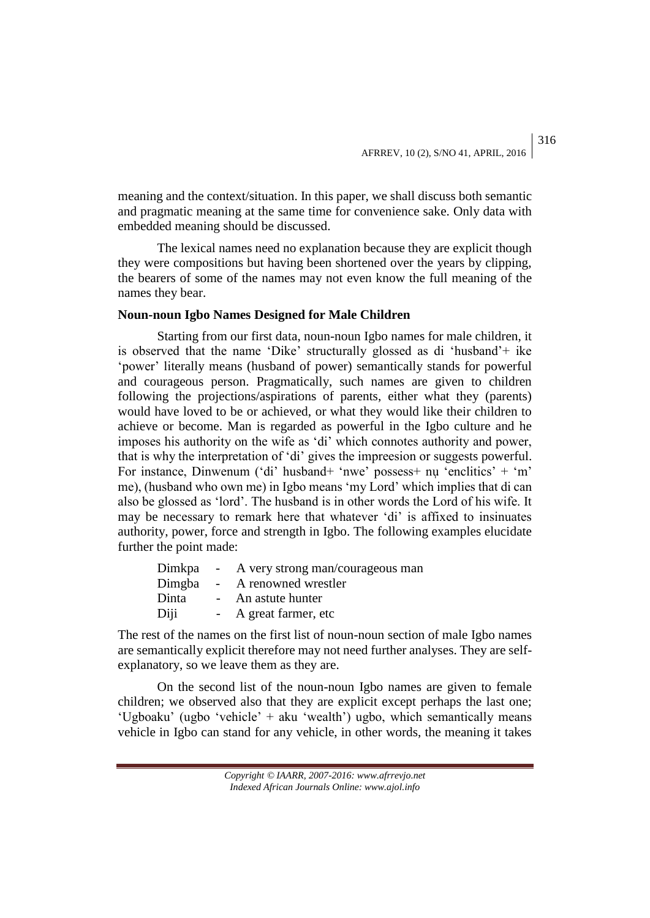meaning and the context/situation. In this paper, we shall discuss both semantic and pragmatic meaning at the same time for convenience sake. Only data with embedded meaning should be discussed.

The lexical names need no explanation because they are explicit though they were compositions but having been shortened over the years by clipping, the bearers of some of the names may not even know the full meaning of the names they bear.

#### **Noun-noun Igbo Names Designed for Male Children**

Starting from our first data, noun-noun Igbo names for male children, it is observed that the name 'Dike' structurally glossed as di 'husband'+ ike 'power' literally means (husband of power) semantically stands for powerful and courageous person. Pragmatically, such names are given to children following the projections/aspirations of parents, either what they (parents) would have loved to be or achieved, or what they would like their children to achieve or become. Man is regarded as powerful in the Igbo culture and he imposes his authority on the wife as 'di' which connotes authority and power, that is why the interpretation of 'di' gives the impreesion or suggests powerful. For instance, Dinwenum ('di' husband+ 'nwe' possess+ nu 'enclitics' + 'm' me), (husband who own me) in Igbo means 'my Lord' which implies that di can also be glossed as 'lord'. The husband is in other words the Lord of his wife. It may be necessary to remark here that whatever 'di' is affixed to insinuates authority, power, force and strength in Igbo. The following examples elucidate further the point made:

|        | Dimkpa - A very strong man/courageous man |
|--------|-------------------------------------------|
| Dimgba | - A renowned wrestler                     |
| Dinta  | - An astute hunter                        |
| Diji   | - A great farmer, etc                     |

The rest of the names on the first list of noun-noun section of male Igbo names are semantically explicit therefore may not need further analyses. They are selfexplanatory, so we leave them as they are.

On the second list of the noun-noun Igbo names are given to female children; we observed also that they are explicit except perhaps the last one; 'Ugboaku' (ugbo 'vehicle' + aku 'wealth') ugbo, which semantically means vehicle in Igbo can stand for any vehicle, in other words, the meaning it takes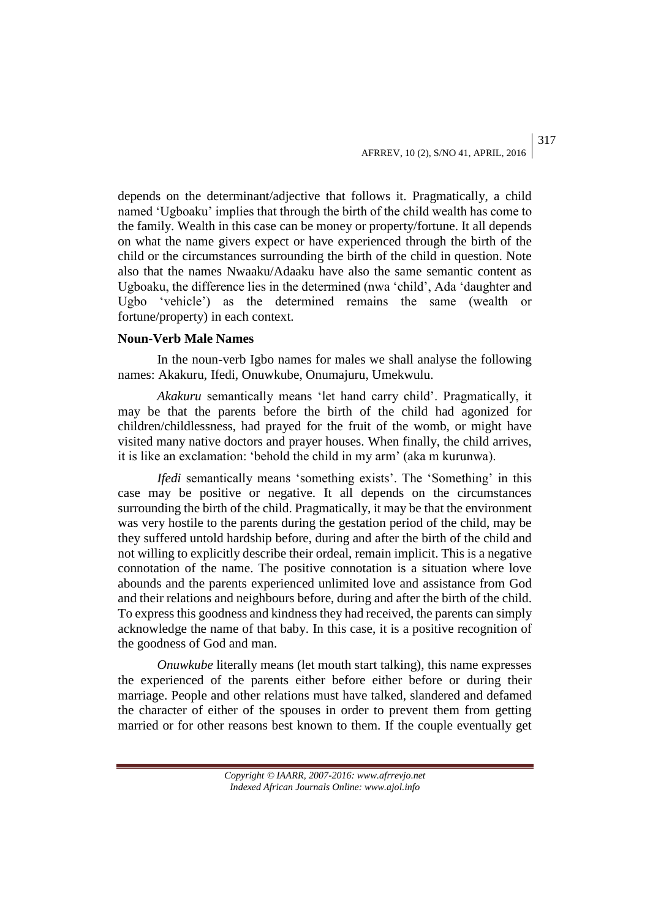depends on the determinant/adjective that follows it. Pragmatically, a child named 'Ugboaku' implies that through the birth of the child wealth has come to the family. Wealth in this case can be money or property/fortune. It all depends on what the name givers expect or have experienced through the birth of the child or the circumstances surrounding the birth of the child in question. Note also that the names Nwaaku/Adaaku have also the same semantic content as Ugboaku, the difference lies in the determined (nwa 'child', Ada 'daughter and Ugbo 'vehicle') as the determined remains the same (wealth or fortune/property) in each context.

#### **Noun-Verb Male Names**

In the noun-verb Igbo names for males we shall analyse the following names: Akakuru, Ifedi, Onuwkube, Onumajuru, Umekwulu.

*Akakuru* semantically means 'let hand carry child'. Pragmatically, it may be that the parents before the birth of the child had agonized for children/childlessness, had prayed for the fruit of the womb, or might have visited many native doctors and prayer houses. When finally, the child arrives, it is like an exclamation: 'behold the child in my arm' (aka m kurunwa).

*Ifedi* semantically means 'something exists'. The 'Something' in this case may be positive or negative. It all depends on the circumstances surrounding the birth of the child. Pragmatically, it may be that the environment was very hostile to the parents during the gestation period of the child, may be they suffered untold hardship before, during and after the birth of the child and not willing to explicitly describe their ordeal, remain implicit. This is a negative connotation of the name. The positive connotation is a situation where love abounds and the parents experienced unlimited love and assistance from God and their relations and neighbours before, during and after the birth of the child. To express this goodness and kindness they had received, the parents can simply acknowledge the name of that baby. In this case, it is a positive recognition of the goodness of God and man.

*Onuwkube* literally means (let mouth start talking), this name expresses the experienced of the parents either before either before or during their marriage. People and other relations must have talked, slandered and defamed the character of either of the spouses in order to prevent them from getting married or for other reasons best known to them. If the couple eventually get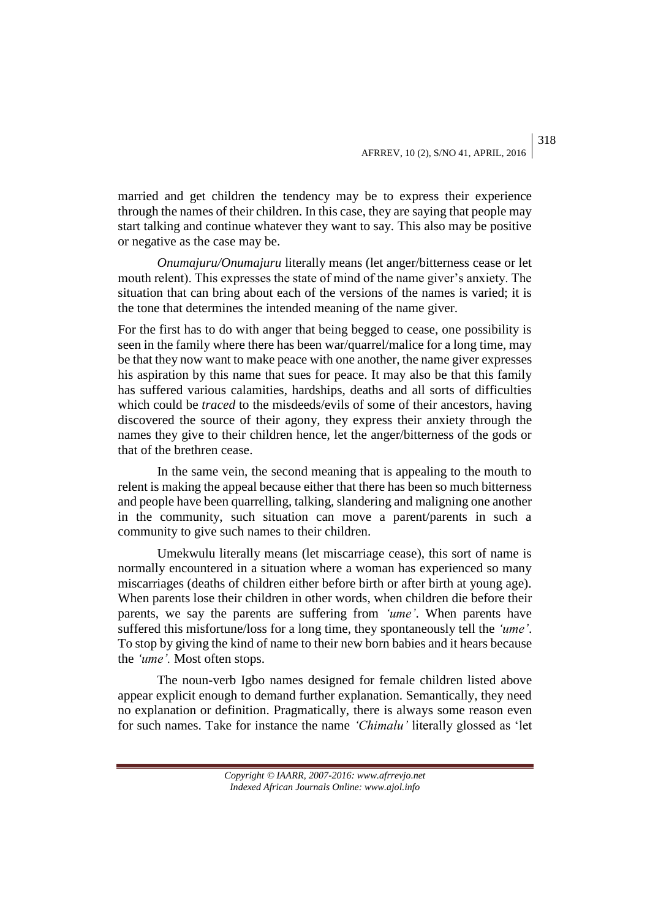married and get children the tendency may be to express their experience through the names of their children. In this case, they are saying that people may start talking and continue whatever they want to say. This also may be positive or negative as the case may be.

*Onumajuru/Onumajuru* literally means (let anger/bitterness cease or let mouth relent). This expresses the state of mind of the name giver's anxiety. The situation that can bring about each of the versions of the names is varied; it is the tone that determines the intended meaning of the name giver.

For the first has to do with anger that being begged to cease, one possibility is seen in the family where there has been war/quarrel/malice for a long time, may be that they now want to make peace with one another, the name giver expresses his aspiration by this name that sues for peace. It may also be that this family has suffered various calamities, hardships, deaths and all sorts of difficulties which could be *traced* to the misdeeds/evils of some of their ancestors, having discovered the source of their agony, they express their anxiety through the names they give to their children hence, let the anger/bitterness of the gods or that of the brethren cease.

In the same vein, the second meaning that is appealing to the mouth to relent is making the appeal because either that there has been so much bitterness and people have been quarrelling, talking, slandering and maligning one another in the community, such situation can move a parent/parents in such a community to give such names to their children.

Umekwulu literally means (let miscarriage cease), this sort of name is normally encountered in a situation where a woman has experienced so many miscarriages (deaths of children either before birth or after birth at young age). When parents lose their children in other words, when children die before their parents, we say the parents are suffering from *'ume'*. When parents have suffered this misfortune/loss for a long time, they spontaneously tell the *'ume'*. To stop by giving the kind of name to their new born babies and it hears because the *'ume'.* Most often stops.

The noun-verb Igbo names designed for female children listed above appear explicit enough to demand further explanation. Semantically, they need no explanation or definition. Pragmatically, there is always some reason even for such names. Take for instance the name *'Chimalu'* literally glossed as 'let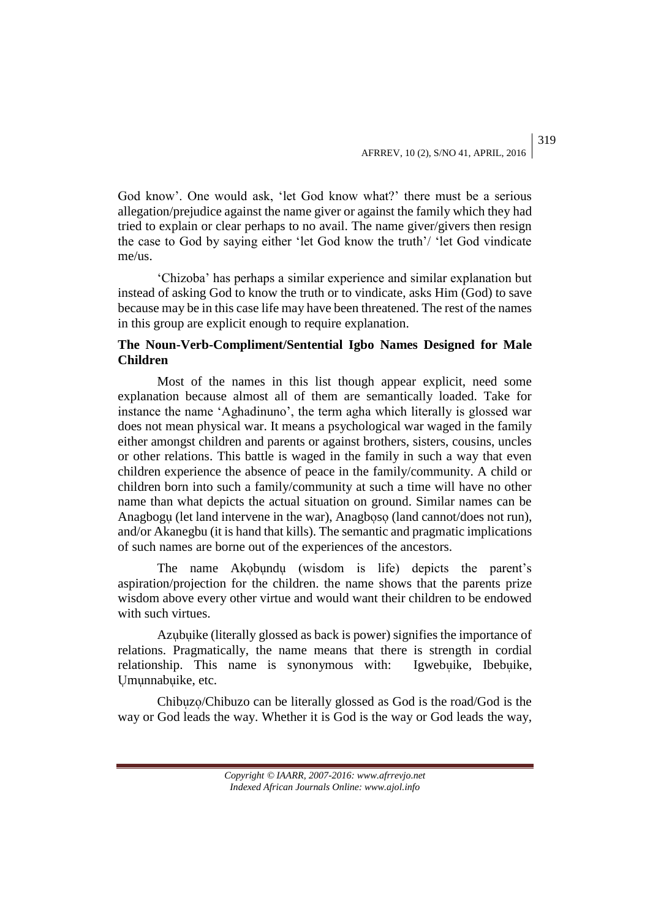God know'. One would ask, 'let God know what?' there must be a serious allegation/prejudice against the name giver or against the family which they had tried to explain or clear perhaps to no avail. The name giver/givers then resign the case to God by saying either 'let God know the truth'/ 'let God vindicate me/us.

'Chizoba' has perhaps a similar experience and similar explanation but instead of asking God to know the truth or to vindicate, asks Him (God) to save because may be in this case life may have been threatened. The rest of the names in this group are explicit enough to require explanation.

#### **The Noun-Verb-Compliment/Sentential Igbo Names Designed for Male Children**

Most of the names in this list though appear explicit, need some explanation because almost all of them are semantically loaded. Take for instance the name 'Aghadinuno', the term agha which literally is glossed war does not mean physical war. It means a psychological war waged in the family either amongst children and parents or against brothers, sisters, cousins, uncles or other relations. This battle is waged in the family in such a way that even children experience the absence of peace in the family/community. A child or children born into such a family/community at such a time will have no other name than what depicts the actual situation on ground. Similar names can be Anagbogu (let land intervene in the war), Anagboso (land cannot/does not run), and/or Akanegbu (it is hand that kills). The semantic and pragmatic implications of such names are borne out of the experiences of the ancestors.

The name Akobundu (wisdom is life) depicts the parent's aspiration/projection for the children. the name shows that the parents prize wisdom above every other virtue and would want their children to be endowed with such virtues.

Azubuike (literally glossed as back is power) signifies the importance of relations. Pragmatically, the name means that there is strength in cordial relationship. This name is synonymous with: Igwebuike, Ibebuike, Umunnabuike, etc.

Chibuzo/Chibuzo can be literally glossed as God is the road/God is the way or God leads the way. Whether it is God is the way or God leads the way,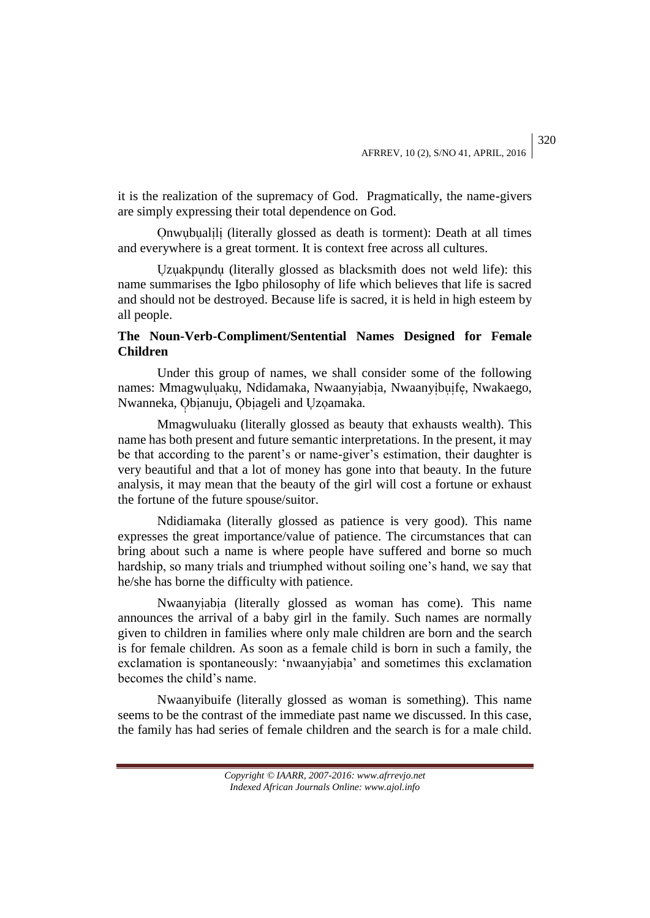it is the realization of the supremacy of God. Pragmatically, the name-givers are simply expressing their total dependence on God.

Onwubualili (literally glossed as death is torment): Death at all times and everywhere is a great torment. It is context free across all cultures.

Uzuakpundu (literally glossed as blacksmith does not weld life): this name summarises the Igbo philosophy of life which believes that life is sacred and should not be destroyed. Because life is sacred, it is held in high esteem by all people.

#### **The Noun-Verb-Compliment/Sentential Names Designed for Female Children**

Under this group of names, we shall consider some of the following names: Mmagwuluaku, Ndidamaka, Nwaanyiabia, Nwaanyibuife, Nwakaego, Nwanneka, Obianuju, Obiageli and Uzoamaka.

Mmagwuluaku (literally glossed as beauty that exhausts wealth). This name has both present and future semantic interpretations. In the present, it may be that according to the parent's or name-giver's estimation, their daughter is very beautiful and that a lot of money has gone into that beauty. In the future analysis, it may mean that the beauty of the girl will cost a fortune or exhaust the fortune of the future spouse/suitor.

Ndidiamaka (literally glossed as patience is very good). This name expresses the great importance/value of patience. The circumstances that can bring about such a name is where people have suffered and borne so much hardship, so many trials and triumphed without soiling one's hand, we say that he/she has borne the difficulty with patience.

Nwaanyiabia (literally glossed as woman has come). This name announces the arrival of a baby girl in the family. Such names are normally given to children in families where only male children are born and the search is for female children. As soon as a female child is born in such a family, the exclamation is spontaneously: 'nwaanyiabia' and sometimes this exclamation becomes the child's name.

Nwaanyibuife (literally glossed as woman is something). This name seems to be the contrast of the immediate past name we discussed. In this case, the family has had series of female children and the search is for a male child.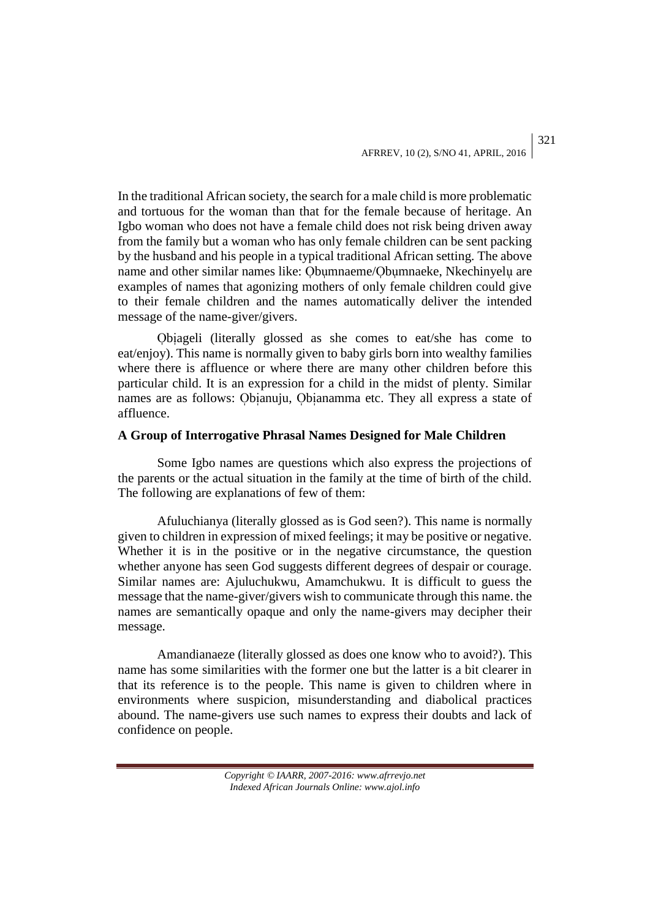In the traditional African society, the search for a male child is more problematic and tortuous for the woman than that for the female because of heritage. An Igbo woman who does not have a female child does not risk being driven away from the family but a woman who has only female children can be sent packing by the husband and his people in a typical traditional African setting. The above name and other similar names like: Obumnaeme/Obumnaeke, Nkechinyelu are examples of names that agonizing mothers of only female children could give to their female children and the names automatically deliver the intended message of the name-giver/givers.

Obiageli (literally glossed as she comes to eat/she has come to eat/enjoy). This name is normally given to baby girls born into wealthy families where there is affluence or where there are many other children before this particular child. It is an expression for a child in the midst of plenty. Similar names are as follows: Qbianuju, Qbianamma etc. They all express a state of affluence.

#### **A Group of Interrogative Phrasal Names Designed for Male Children**

Some Igbo names are questions which also express the projections of the parents or the actual situation in the family at the time of birth of the child. The following are explanations of few of them:

Afuluchianya (literally glossed as is God seen?). This name is normally given to children in expression of mixed feelings; it may be positive or negative. Whether it is in the positive or in the negative circumstance, the question whether anyone has seen God suggests different degrees of despair or courage. Similar names are: Ajuluchukwu, Amamchukwu. It is difficult to guess the message that the name-giver/givers wish to communicate through this name. the names are semantically opaque and only the name-givers may decipher their message.

Amandianaeze (literally glossed as does one know who to avoid?). This name has some similarities with the former one but the latter is a bit clearer in that its reference is to the people. This name is given to children where in environments where suspicion, misunderstanding and diabolical practices abound. The name-givers use such names to express their doubts and lack of confidence on people.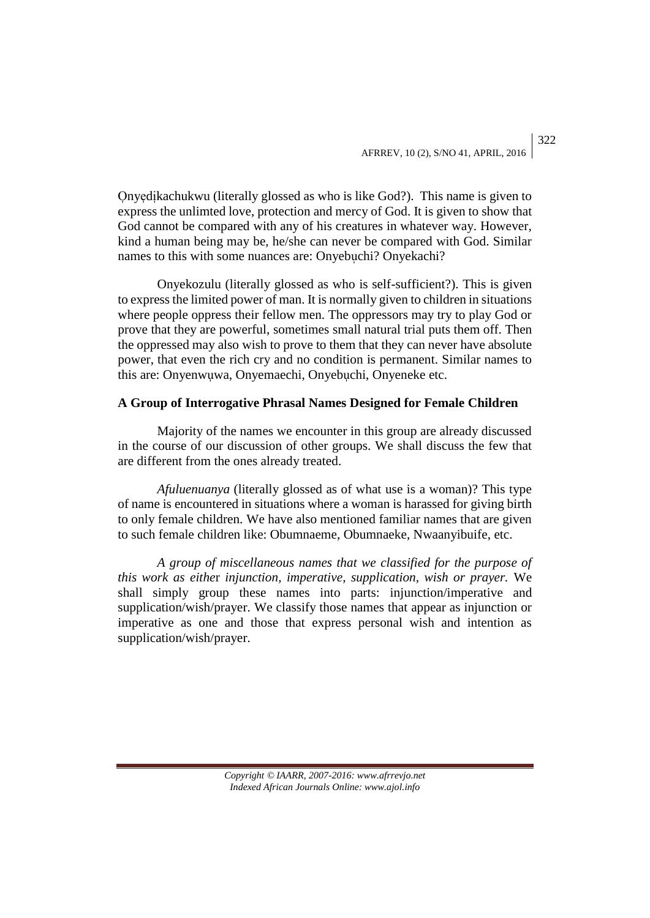Onyedikachukwu (literally glossed as who is like God?). This name is given to express the unlimted love, protection and mercy of God. It is given to show that God cannot be compared with any of his creatures in whatever way. However, kind a human being may be, he/she can never be compared with God. Similar names to this with some nuances are: Onyebuchi? Onyekachi?

Onyekozulu (literally glossed as who is self-sufficient?). This is given to express the limited power of man. It is normally given to children in situations where people oppress their fellow men. The oppressors may try to play God or prove that they are powerful, sometimes small natural trial puts them off. Then the oppressed may also wish to prove to them that they can never have absolute power, that even the rich cry and no condition is permanent. Similar names to this are: Onyenwuwa, Onyemaechi, Onyebuchi, Onyeneke etc.

#### **A Group of Interrogative Phrasal Names Designed for Female Children**

Majority of the names we encounter in this group are already discussed in the course of our discussion of other groups. We shall discuss the few that are different from the ones already treated.

*Afuluenuanya* (literally glossed as of what use is a woman)? This type of name is encountered in situations where a woman is harassed for giving birth to only female children. We have also mentioned familiar names that are given to such female children like: Obumnaeme, Obumnaeke, Nwaanyibuife, etc.

*A group of miscellaneous names that we classified for the purpose of this work as eithe*r *injunction, imperative, supplication, wish or prayer.* We shall simply group these names into parts: injunction/imperative and supplication/wish/prayer. We classify those names that appear as injunction or imperative as one and those that express personal wish and intention as supplication/wish/prayer.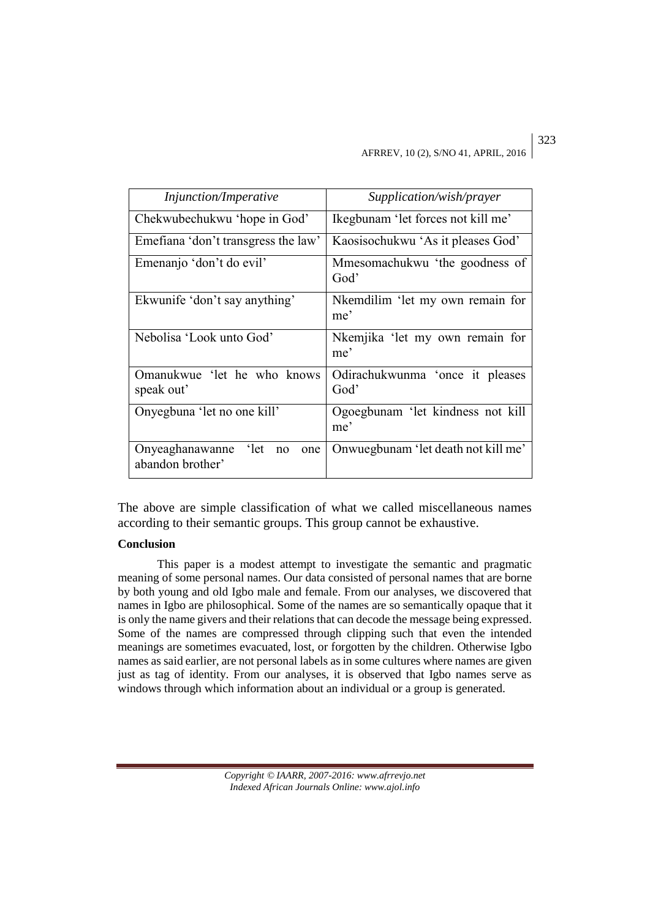| <i>Injunction/Imperative</i>                             | Supplication/wish/prayer                 |
|----------------------------------------------------------|------------------------------------------|
| Chekwubechukwu 'hope in God'                             | Ikegbunam 'let forces not kill me'       |
| Emefiana 'don't transgress the law'                      | Kaosisochukwu 'As it pleases God'        |
| Emenanjo 'don't do evil'                                 | Mmesomachukwu 'the goodness of<br>God'   |
| Ekwunife 'don't say anything'                            | Nkemdilim 'let my own remain for<br>me'  |
| Nebolisa 'Look unto God'                                 | Nkemjika 'let my own remain for<br>me'   |
| Omanukwue 'let he who knows<br>speak out'                | Odirachukwunma 'once it pleases<br>God'  |
| Onyegbuna 'let no one kill'                              | Ogoegbunam 'let kindness not kill<br>me' |
| 'let<br>Onyeaghanawanne<br>no<br>one<br>abandon brother' | Onwuegbunam 'let death not kill me'      |

The above are simple classification of what we called miscellaneous names according to their semantic groups. This group cannot be exhaustive.

#### **Conclusion**

This paper is a modest attempt to investigate the semantic and pragmatic meaning of some personal names. Our data consisted of personal names that are borne by both young and old Igbo male and female. From our analyses, we discovered that names in Igbo are philosophical. Some of the names are so semantically opaque that it is only the name givers and their relations that can decode the message being expressed. Some of the names are compressed through clipping such that even the intended meanings are sometimes evacuated, lost, or forgotten by the children. Otherwise Igbo names as said earlier, are not personal labels as in some cultures where names are given just as tag of identity. From our analyses, it is observed that Igbo names serve as windows through which information about an individual or a group is generated.